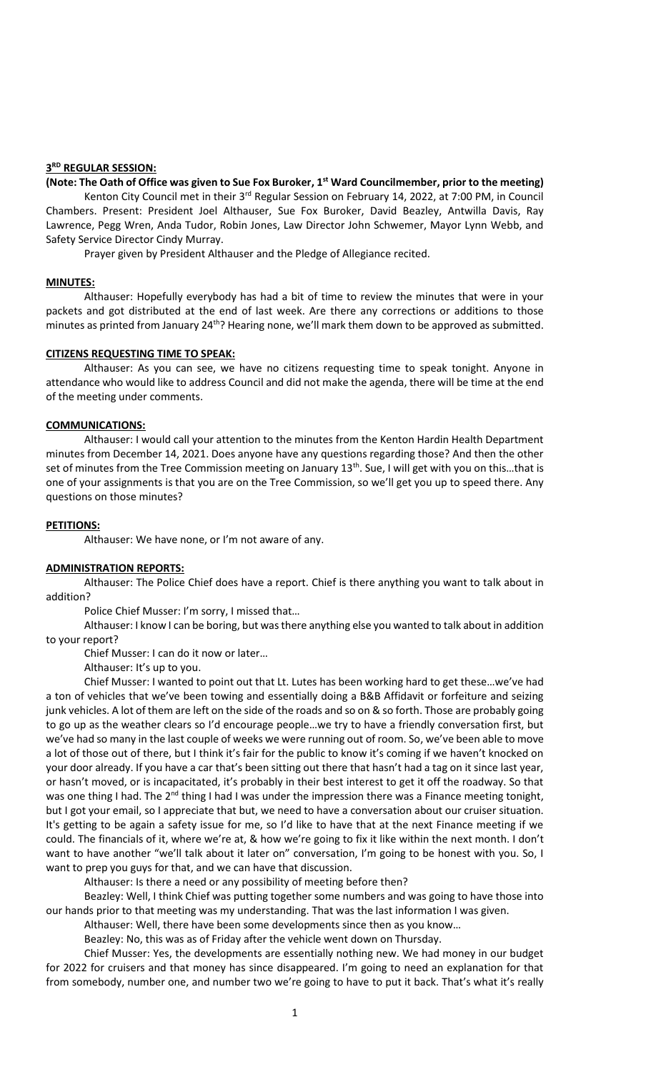### **3 RD REGULAR SESSION:**

**(Note: The Oath of Office was given to Sue Fox Buroker, 1 st Ward Councilmember, prior to the meeting)**

Kenton City Council met in their 3<sup>rd</sup> Regular Session on February 14, 2022, at 7:00 PM, in Council Chambers. Present: President Joel Althauser, Sue Fox Buroker, David Beazley, Antwilla Davis, Ray Lawrence, Pegg Wren, Anda Tudor, Robin Jones, Law Director John Schwemer, Mayor Lynn Webb, and Safety Service Director Cindy Murray.

Prayer given by President Althauser and the Pledge of Allegiance recited.

### **MINUTES:**

Althauser: Hopefully everybody has had a bit of time to review the minutes that were in your packets and got distributed at the end of last week. Are there any corrections or additions to those minutes as printed from January 24<sup>th</sup>? Hearing none, we'll mark them down to be approved as submitted.

### **CITIZENS REQUESTING TIME TO SPEAK:**

Althauser: As you can see, we have no citizens requesting time to speak tonight. Anyone in attendance who would like to address Council and did not make the agenda, there will be time at the end of the meeting under comments.

### **COMMUNICATIONS:**

Althauser: I would call your attention to the minutes from the Kenton Hardin Health Department minutes from December 14, 2021. Does anyone have any questions regarding those? And then the other set of minutes from the Tree Commission meeting on January  $13<sup>th</sup>$ . Sue, I will get with you on this...that is one of your assignments is that you are on the Tree Commission, so we'll get you up to speed there. Any questions on those minutes?

### **PETITIONS:**

Althauser: We have none, or I'm not aware of any.

### **ADMINISTRATION REPORTS:**

Althauser: The Police Chief does have a report. Chief is there anything you want to talk about in addition?

Police Chief Musser: I'm sorry, I missed that…

Althauser: I know I can be boring, but was there anything else you wanted to talk about in addition to your report?

Chief Musser: I can do it now or later…

Althauser: It's up to you.

Chief Musser: I wanted to point out that Lt. Lutes has been working hard to get these…we've had a ton of vehicles that we've been towing and essentially doing a B&B Affidavit or forfeiture and seizing junk vehicles. A lot of them are left on the side of the roads and so on & so forth. Those are probably going to go up as the weather clears so I'd encourage people…we try to have a friendly conversation first, but we've had so many in the last couple of weeks we were running out of room. So, we've been able to move a lot of those out of there, but I think it's fair for the public to know it's coming if we haven't knocked on your door already. If you have a car that's been sitting out there that hasn't had a tag on it since last year, or hasn't moved, or is incapacitated, it's probably in their best interest to get it off the roadway. So that was one thing I had. The  $2^{nd}$  thing I had I was under the impression there was a Finance meeting tonight, but I got your email, so I appreciate that but, we need to have a conversation about our cruiser situation. It's getting to be again a safety issue for me, so I'd like to have that at the next Finance meeting if we could. The financials of it, where we're at, & how we're going to fix it like within the next month. I don't want to have another "we'll talk about it later on" conversation, I'm going to be honest with you. So, I want to prep you guys for that, and we can have that discussion.

Althauser: Is there a need or any possibility of meeting before then?

Beazley: Well, I think Chief was putting together some numbers and was going to have those into our hands prior to that meeting was my understanding. That was the last information I was given.

Althauser: Well, there have been some developments since then as you know…

Beazley: No, this was as of Friday after the vehicle went down on Thursday.

Chief Musser: Yes, the developments are essentially nothing new. We had money in our budget for 2022 for cruisers and that money has since disappeared. I'm going to need an explanation for that from somebody, number one, and number two we're going to have to put it back. That's what it's really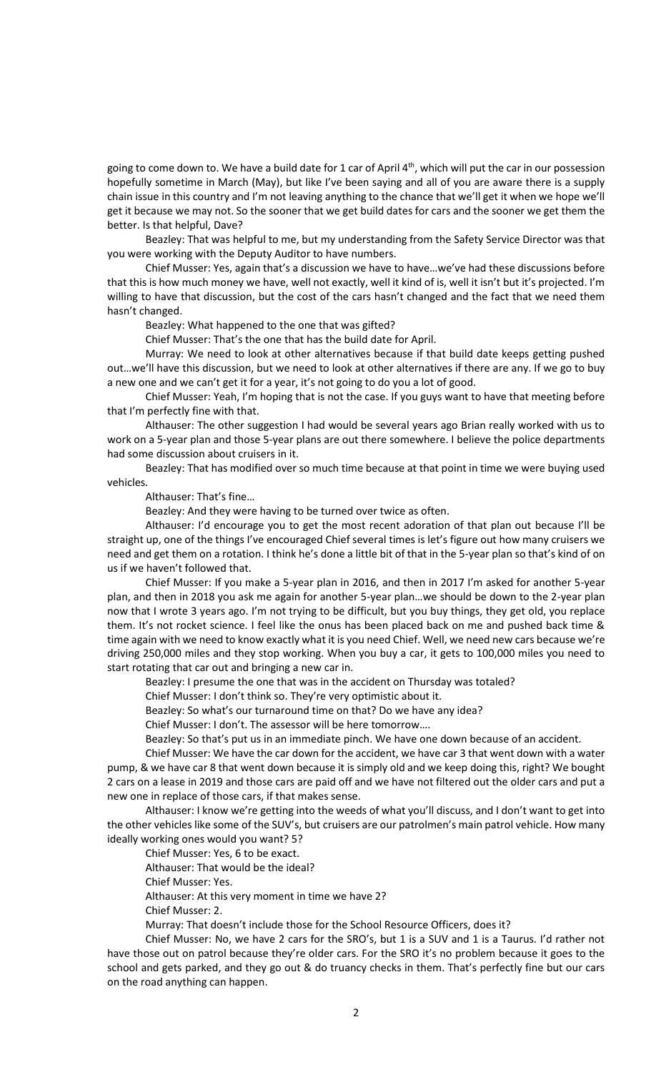going to come down to. We have a build date for 1 car of April 4<sup>th</sup>, which will put the car in our possession hopefully sometime in March (May), but like I've been saying and all of you are aware there is a supply chain issue in this country and I'm not leaving anything to the chance that we'll get it when we hope we'll get it because we may not. So the sooner that we get build dates for cars and the sooner we get them the better. Is that helpful, Dave?

Beazley: That was helpful to me, but my understanding from the Safety Service Director was that you were working with the Deputy Auditor to have numbers.

Chief Musser: Yes, again that's a discussion we have to have…we've had these discussions before that this is how much money we have, well not exactly, well it kind of is, well it isn't but it's projected. I'm willing to have that discussion, but the cost of the cars hasn't changed and the fact that we need them hasn't changed.

Beazley: What happened to the one that was gifted?

Chief Musser: That's the one that has the build date for April.

Murray: We need to look at other alternatives because if that build date keeps getting pushed out…we'll have this discussion, but we need to look at other alternatives if there are any. If we go to buy a new one and we can't get it for a year, it's not going to do you a lot of good.

Chief Musser: Yeah, I'm hoping that is not the case. If you guys want to have that meeting before that I'm perfectly fine with that.

Althauser: The other suggestion I had would be several years ago Brian really worked with us to work on a 5-year plan and those 5-year plans are out there somewhere. I believe the police departments had some discussion about cruisers in it.

Beazley: That has modified over so much time because at that point in time we were buying used vehicles.

Althauser: That's fine…

Beazley: And they were having to be turned over twice as often.

Althauser: I'd encourage you to get the most recent adoration of that plan out because I'll be straight up, one of the things I've encouraged Chief several times is let's figure out how many cruisers we need and get them on a rotation. I think he's done a little bit of that in the 5-year plan so that's kind of on us if we haven't followed that.

Chief Musser: If you make a 5-year plan in 2016, and then in 2017 I'm asked for another 5-year plan, and then in 2018 you ask me again for another 5-year plan…we should be down to the 2-year plan now that I wrote 3 years ago. I'm not trying to be difficult, but you buy things, they get old, you replace them. It's not rocket science. I feel like the onus has been placed back on me and pushed back time & time again with we need to know exactly what it is you need Chief. Well, we need new cars because we're driving 250,000 miles and they stop working. When you buy a car, it gets to 100,000 miles you need to start rotating that car out and bringing a new car in.

Beazley: I presume the one that was in the accident on Thursday was totaled?

Chief Musser: I don't think so. They're very optimistic about it.

Beazley: So what's our turnaround time on that? Do we have any idea?

Chief Musser: I don't. The assessor will be here tomorrow….

Beazley: So that's put us in an immediate pinch. We have one down because of an accident.

Chief Musser: We have the car down for the accident, we have car 3 that went down with a water pump, & we have car 8 that went down because it is simply old and we keep doing this, right? We bought 2 cars on a lease in 2019 and those cars are paid off and we have not filtered out the older cars and put a new one in replace of those cars, if that makes sense.

Althauser: I know we're getting into the weeds of what you'll discuss, and I don't want to get into the other vehicles like some of the SUV's, but cruisers are our patrolmen's main patrol vehicle. How many ideally working ones would you want? 5?

Chief Musser: Yes, 6 to be exact.

Althauser: That would be the ideal?

Chief Musser: Yes.

Althauser: At this very moment in time we have 2?

Chief Musser: 2.

Murray: That doesn't include those for the School Resource Officers, does it?

Chief Musser: No, we have 2 cars for the SRO's, but 1 is a SUV and 1 is a Taurus. I'd rather not have those out on patrol because they're older cars. For the SRO it's no problem because it goes to the school and gets parked, and they go out & do truancy checks in them. That's perfectly fine but our cars on the road anything can happen.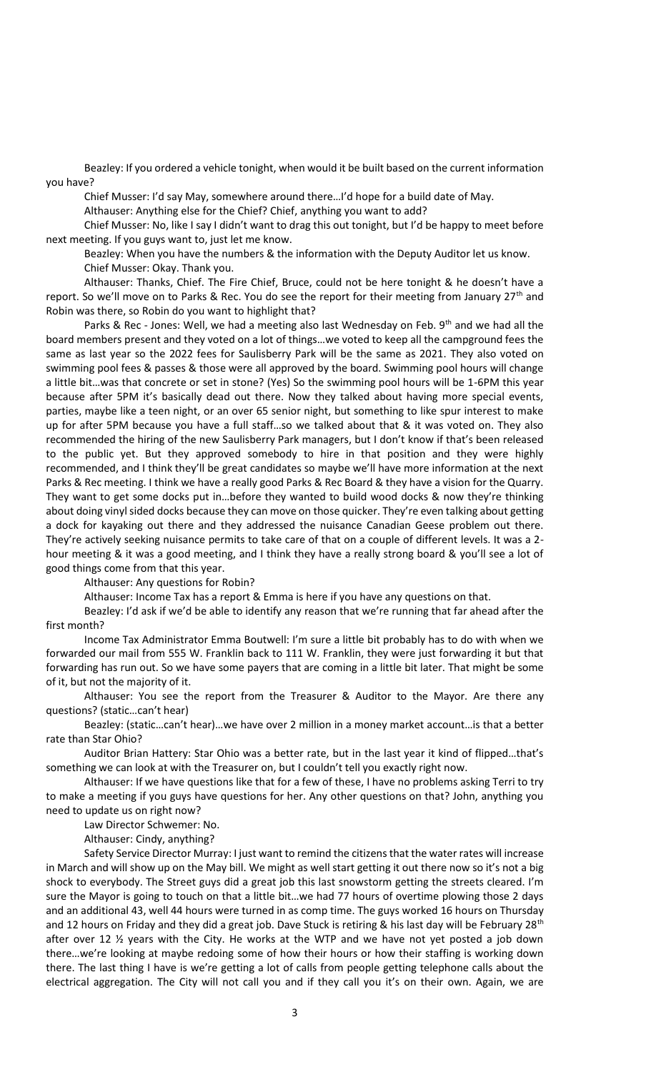Beazley: If you ordered a vehicle tonight, when would it be built based on the current information you have?

Chief Musser: I'd say May, somewhere around there…I'd hope for a build date of May.

Althauser: Anything else for the Chief? Chief, anything you want to add?

Chief Musser: No, like I say I didn't want to drag this out tonight, but I'd be happy to meet before next meeting. If you guys want to, just let me know.

Beazley: When you have the numbers & the information with the Deputy Auditor let us know. Chief Musser: Okay. Thank you.

Althauser: Thanks, Chief. The Fire Chief, Bruce, could not be here tonight & he doesn't have a report. So we'll move on to Parks & Rec. You do see the report for their meeting from January 27<sup>th</sup> and Robin was there, so Robin do you want to highlight that?

Parks & Rec - Jones: Well, we had a meeting also last Wednesday on Feb. 9<sup>th</sup> and we had all the board members present and they voted on a lot of things…we voted to keep all the campground fees the same as last year so the 2022 fees for Saulisberry Park will be the same as 2021. They also voted on swimming pool fees & passes & those were all approved by the board. Swimming pool hours will change a little bit…was that concrete or set in stone? (Yes) So the swimming pool hours will be 1-6PM this year because after 5PM it's basically dead out there. Now they talked about having more special events, parties, maybe like a teen night, or an over 65 senior night, but something to like spur interest to make up for after 5PM because you have a full staff…so we talked about that & it was voted on. They also recommended the hiring of the new Saulisberry Park managers, but I don't know if that's been released to the public yet. But they approved somebody to hire in that position and they were highly recommended, and I think they'll be great candidates so maybe we'll have more information at the next Parks & Rec meeting. I think we have a really good Parks & Rec Board & they have a vision for the Quarry. They want to get some docks put in…before they wanted to build wood docks & now they're thinking about doing vinyl sided docks because they can move on those quicker. They're even talking about getting a dock for kayaking out there and they addressed the nuisance Canadian Geese problem out there. They're actively seeking nuisance permits to take care of that on a couple of different levels. It was a 2 hour meeting & it was a good meeting, and I think they have a really strong board & you'll see a lot of good things come from that this year.

Althauser: Any questions for Robin?

Althauser: Income Tax has a report & Emma is here if you have any questions on that.

Beazley: I'd ask if we'd be able to identify any reason that we're running that far ahead after the first month?

Income Tax Administrator Emma Boutwell: I'm sure a little bit probably has to do with when we forwarded our mail from 555 W. Franklin back to 111 W. Franklin, they were just forwarding it but that forwarding has run out. So we have some payers that are coming in a little bit later. That might be some of it, but not the majority of it.

Althauser: You see the report from the Treasurer & Auditor to the Mayor. Are there any questions? (static…can't hear)

Beazley: (static…can't hear)…we have over 2 million in a money market account…is that a better rate than Star Ohio?

Auditor Brian Hattery: Star Ohio was a better rate, but in the last year it kind of flipped…that's something we can look at with the Treasurer on, but I couldn't tell you exactly right now.

Althauser: If we have questions like that for a few of these, I have no problems asking Terri to try to make a meeting if you guys have questions for her. Any other questions on that? John, anything you need to update us on right now?

Law Director Schwemer: No.

Althauser: Cindy, anything?

Safety Service Director Murray: I just want to remind the citizens that the water rates will increase in March and will show up on the May bill. We might as well start getting it out there now so it's not a big shock to everybody. The Street guys did a great job this last snowstorm getting the streets cleared. I'm sure the Mayor is going to touch on that a little bit…we had 77 hours of overtime plowing those 2 days and an additional 43, well 44 hours were turned in as comp time. The guys worked 16 hours on Thursday and 12 hours on Friday and they did a great job. Dave Stuck is retiring & his last day will be February 28<sup>th</sup> after over 12  $\frac{1}{2}$  years with the City. He works at the WTP and we have not yet posted a job down there…we're looking at maybe redoing some of how their hours or how their staffing is working down there. The last thing I have is we're getting a lot of calls from people getting telephone calls about the electrical aggregation. The City will not call you and if they call you it's on their own. Again, we are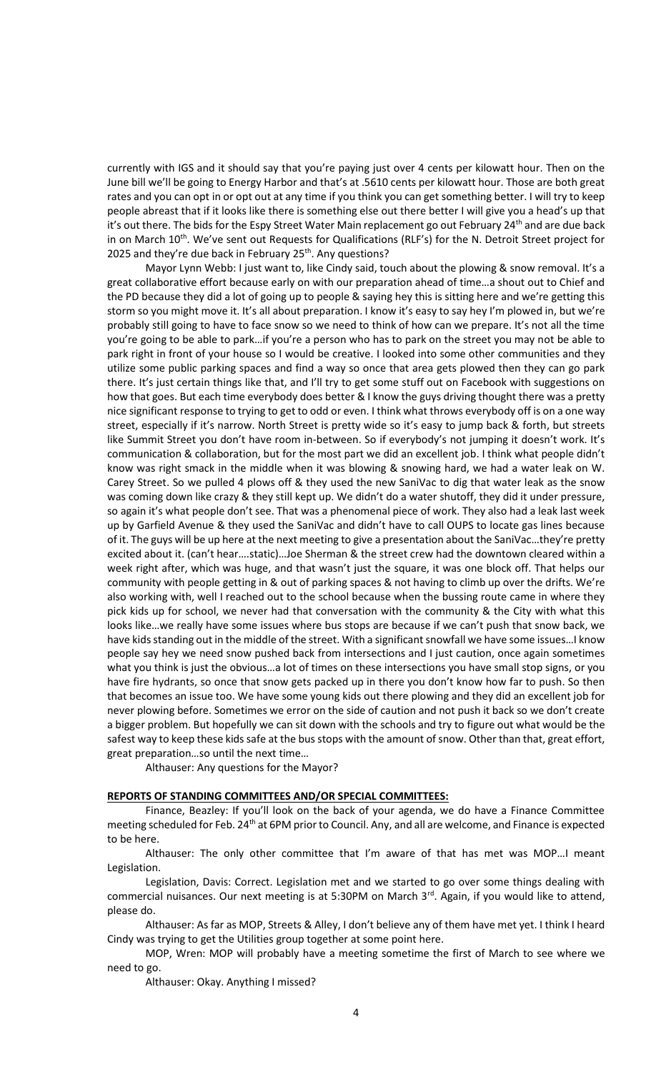currently with IGS and it should say that you're paying just over 4 cents per kilowatt hour. Then on the June bill we'll be going to Energy Harbor and that's at .5610 cents per kilowatt hour. Those are both great rates and you can opt in or opt out at any time if you think you can get something better. I will try to keep people abreast that if it looks like there is something else out there better I will give you a head's up that it's out there. The bids for the Espy Street Water Main replacement go out February 24<sup>th</sup> and are due back in on March 10<sup>th</sup>. We've sent out Requests for Qualifications (RLF's) for the N. Detroit Street project for 2025 and they're due back in February  $25<sup>th</sup>$ . Any questions?

Mayor Lynn Webb: I just want to, like Cindy said, touch about the plowing & snow removal. It's a great collaborative effort because early on with our preparation ahead of time…a shout out to Chief and the PD because they did a lot of going up to people & saying hey this is sitting here and we're getting this storm so you might move it. It's all about preparation. I know it's easy to say hey I'm plowed in, but we're probably still going to have to face snow so we need to think of how can we prepare. It's not all the time you're going to be able to park…if you're a person who has to park on the street you may not be able to park right in front of your house so I would be creative. I looked into some other communities and they utilize some public parking spaces and find a way so once that area gets plowed then they can go park there. It's just certain things like that, and I'll try to get some stuff out on Facebook with suggestions on how that goes. But each time everybody does better & I know the guys driving thought there was a pretty nice significant response to trying to get to odd or even. I think what throws everybody off is on a one way street, especially if it's narrow. North Street is pretty wide so it's easy to jump back & forth, but streets like Summit Street you don't have room in-between. So if everybody's not jumping it doesn't work. It's communication & collaboration, but for the most part we did an excellent job. I think what people didn't know was right smack in the middle when it was blowing & snowing hard, we had a water leak on W. Carey Street. So we pulled 4 plows off & they used the new SaniVac to dig that water leak as the snow was coming down like crazy & they still kept up. We didn't do a water shutoff, they did it under pressure, so again it's what people don't see. That was a phenomenal piece of work. They also had a leak last week up by Garfield Avenue & they used the SaniVac and didn't have to call OUPS to locate gas lines because of it. The guys will be up here at the next meeting to give a presentation about the SaniVac…they're pretty excited about it. (can't hear….static)…Joe Sherman & the street crew had the downtown cleared within a week right after, which was huge, and that wasn't just the square, it was one block off. That helps our community with people getting in & out of parking spaces & not having to climb up over the drifts. We're also working with, well I reached out to the school because when the bussing route came in where they pick kids up for school, we never had that conversation with the community & the City with what this looks like…we really have some issues where bus stops are because if we can't push that snow back, we have kids standing out in the middle of the street. With a significant snowfall we have some issues...I know people say hey we need snow pushed back from intersections and I just caution, once again sometimes what you think is just the obvious…a lot of times on these intersections you have small stop signs, or you have fire hydrants, so once that snow gets packed up in there you don't know how far to push. So then that becomes an issue too. We have some young kids out there plowing and they did an excellent job for never plowing before. Sometimes we error on the side of caution and not push it back so we don't create a bigger problem. But hopefully we can sit down with the schools and try to figure out what would be the safest way to keep these kids safe at the bus stops with the amount of snow. Other than that, great effort, great preparation…so until the next time…

Althauser: Any questions for the Mayor?

### **REPORTS OF STANDING COMMITTEES AND/OR SPECIAL COMMITTEES:**

Finance, Beazley: If you'll look on the back of your agenda, we do have a Finance Committee meeting scheduled for Feb. 24<sup>th</sup> at 6PM prior to Council. Any, and all are welcome, and Finance is expected to be here.

Althauser: The only other committee that I'm aware of that has met was MOP…I meant Legislation.

Legislation, Davis: Correct. Legislation met and we started to go over some things dealing with commercial nuisances. Our next meeting is at 5:30PM on March 3<sup>rd</sup>. Again, if you would like to attend, please do.

Althauser: As far as MOP, Streets & Alley, I don't believe any of them have met yet. I think I heard Cindy was trying to get the Utilities group together at some point here.

MOP, Wren: MOP will probably have a meeting sometime the first of March to see where we need to go.

Althauser: Okay. Anything I missed?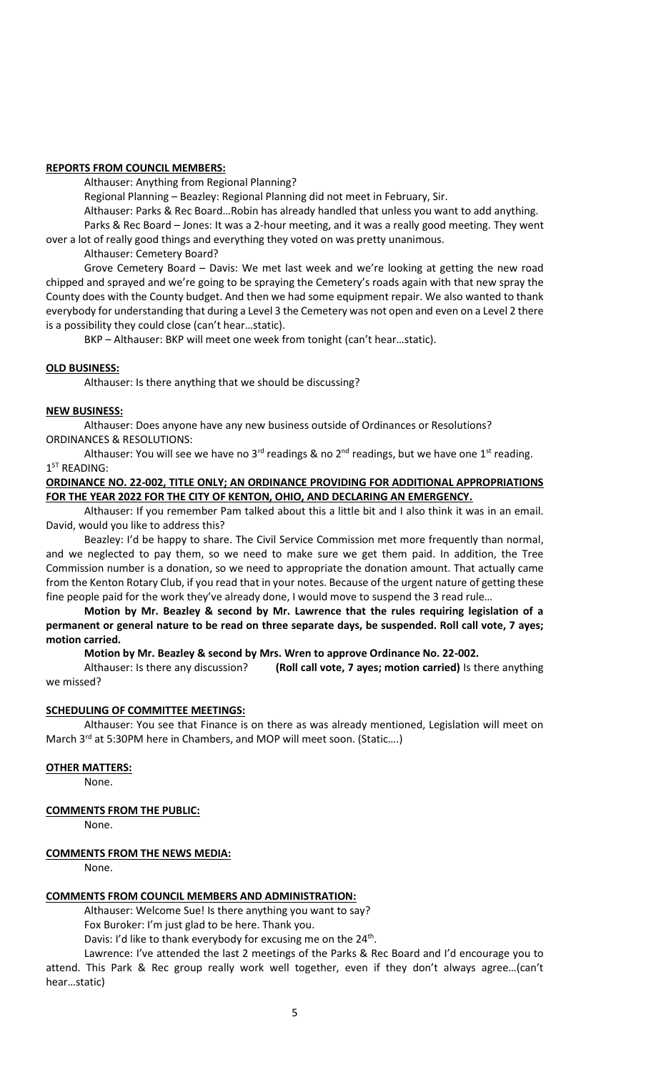### **REPORTS FROM COUNCIL MEMBERS:**

Althauser: Anything from Regional Planning?

Regional Planning – Beazley: Regional Planning did not meet in February, Sir.

Althauser: Parks & Rec Board…Robin has already handled that unless you want to add anything.

Parks & Rec Board – Jones: It was a 2-hour meeting, and it was a really good meeting. They went over a lot of really good things and everything they voted on was pretty unanimous.

Althauser: Cemetery Board?

Grove Cemetery Board – Davis: We met last week and we're looking at getting the new road chipped and sprayed and we're going to be spraying the Cemetery's roads again with that new spray the County does with the County budget. And then we had some equipment repair. We also wanted to thank everybody for understanding that during a Level 3 the Cemetery was not open and even on a Level 2 there is a possibility they could close (can't hear…static).

BKP – Althauser: BKP will meet one week from tonight (can't hear…static).

## **OLD BUSINESS:**

Althauser: Is there anything that we should be discussing?

## **NEW BUSINESS:**

Althauser: Does anyone have any new business outside of Ordinances or Resolutions? ORDINANCES & RESOLUTIONS:

Althauser: You will see we have no 3<sup>rd</sup> readings & no 2<sup>nd</sup> readings, but we have one 1<sup>st</sup> reading.  $1^{ST}$  READING:

## **ORDINANCE NO. 22-002, TITLE ONLY; AN ORDINANCE PROVIDING FOR ADDITIONAL APPROPRIATIONS FOR THE YEAR 2022 FOR THE CITY OF KENTON, OHIO, AND DECLARING AN EMERGENCY.**

Althauser: If you remember Pam talked about this a little bit and I also think it was in an email. David, would you like to address this?

Beazley: I'd be happy to share. The Civil Service Commission met more frequently than normal, and we neglected to pay them, so we need to make sure we get them paid. In addition, the Tree Commission number is a donation, so we need to appropriate the donation amount. That actually came from the Kenton Rotary Club, if you read that in your notes. Because of the urgent nature of getting these fine people paid for the work they've already done, I would move to suspend the 3 read rule…

**Motion by Mr. Beazley & second by Mr. Lawrence that the rules requiring legislation of a permanent or general nature to be read on three separate days, be suspended. Roll call vote, 7 ayes; motion carried.** 

**Motion by Mr. Beazley & second by Mrs. Wren to approve Ordinance No. 22-002.**

Althauser: Is there any discussion? **(Roll call vote, 7 ayes; motion carried)** Is there anything we missed?

# **SCHEDULING OF COMMITTEE MEETINGS:**

Althauser: You see that Finance is on there as was already mentioned, Legislation will meet on March 3<sup>rd</sup> at 5:30PM here in Chambers, and MOP will meet soon. (Static....)

### **OTHER MATTERS:**

None.

### **COMMENTS FROM THE PUBLIC:**

None.

### **COMMENTS FROM THE NEWS MEDIA:**

None.

## **COMMENTS FROM COUNCIL MEMBERS AND ADMINISTRATION:**

Althauser: Welcome Sue! Is there anything you want to say?

Fox Buroker: I'm just glad to be here. Thank you.

Davis: I'd like to thank everybody for excusing me on the 24<sup>th</sup>.

Lawrence: I've attended the last 2 meetings of the Parks & Rec Board and I'd encourage you to attend. This Park & Rec group really work well together, even if they don't always agree…(can't hear…static)